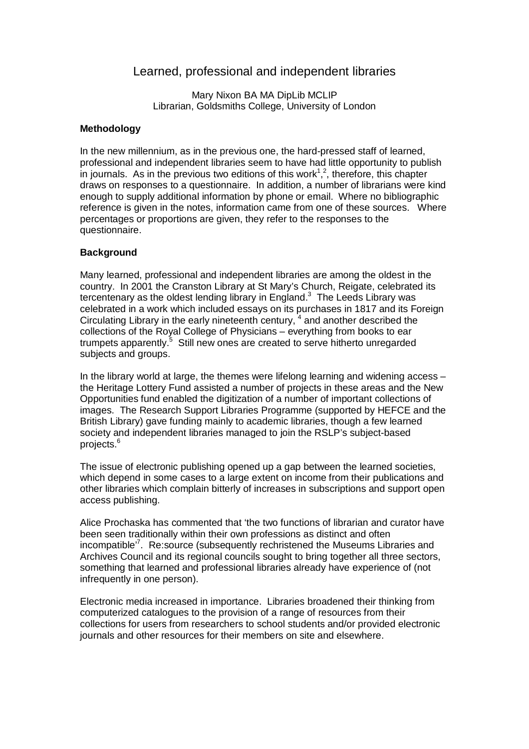# Learned, professional and independent libraries

Mary Nixon BA MA DipLib MCLIP Librarian, Goldsmiths College, University of London

## **Methodology**

In the new millennium, as in the previous one, the hard-pressed staff of learned, professional and independent libraries seem to have had little opportunity to publish in journals. As in the previous two editions of this work<sup>1,2</sup>, therefore, this chapter draws on responses to a questionnaire. In addition, a number of librarians were kind enough to supply additional information by phone or email. Where no bibliographic reference is given in the notes, information came from one of these sources. Where percentages or proportions are given, they refer to the responses to the questionnaire.

## **Background**

Many learned, professional and independent libraries are among the oldest in the country. In 2001 the Cranston Library at St Mary's Church, Reigate, celebrated its tercentenary as the oldest lending library in England. $3$  The Leeds Library was celebrated in a work which included essays on its purchases in 1817 and its Foreign Circulating Library in the early nineteenth century,  $4$  and another described the collections of the Royal College of Physicians – everything from books to ear trumpets apparently.<sup>5</sup> Still new ones are created to serve hitherto unregarded subjects and groups.

In the library world at large, the themes were lifelong learning and widening access – the Heritage Lottery Fund assisted a number of projects in these areas and the New Opportunities fund enabled the digitization of a number of important collections of images. The Research Support Libraries Programme (supported by HEFCE and the British Library) gave funding mainly to academic libraries, though a few learned society and independent libraries managed to join the RSLP's subject-based projects.<sup>6</sup>

The issue of electronic publishing opened up a gap between the learned societies, which depend in some cases to a large extent on income from their publications and other libraries which complain bitterly of increases in subscriptions and support open access publishing.

Alice Prochaska has commented that 'the two functions of librarian and curator have been seen traditionally within their own professions as distinct and often incompatible'<sup>7</sup> . Re:source (subsequently rechristened the Museums Libraries and Archives Council and its regional councils sought to bring together all three sectors, something that learned and professional libraries already have experience of (not infrequently in one person).

Electronic media increased in importance. Libraries broadened their thinking from computerized catalogues to the provision of a range of resources from their collections for users from researchers to school students and/or provided electronic journals and other resources for their members on site and elsewhere.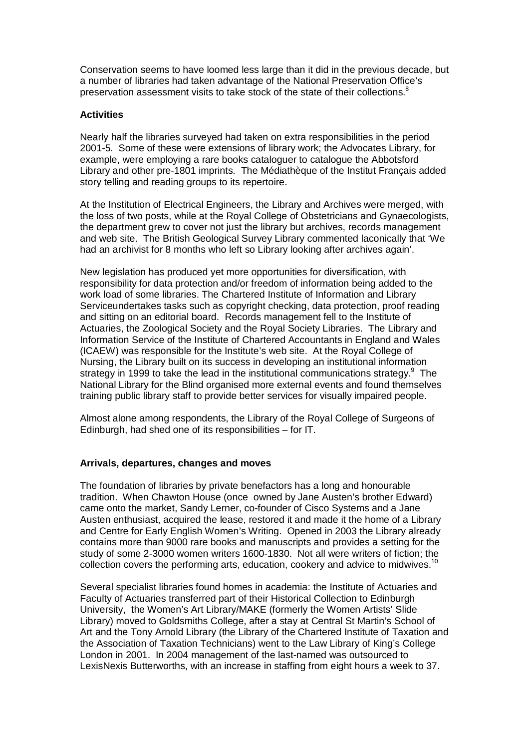Conservation seems to have loomed less large than it did in the previous decade, but a number of libraries had taken advantage of the National Preservation Office's preservation assessment visits to take stock of the state of their collections.<sup>8</sup>

## **Activities**

Nearly half the libraries surveyed had taken on extra responsibilities in the period 2001-5. Some of these were extensions of library work; the Advocates Library, for example, were employing a rare books cataloguer to catalogue the Abbotsford Library and other pre-1801 imprints. The Médiathèque of the Institut Français added story telling and reading groups to its repertoire.

At the Institution of Electrical Engineers, the Library and Archives were merged, with the loss of two posts, while at the Royal College of Obstetricians and Gynaecologists, the department grew to cover not just the library but archives, records management and web site. The British Geological Survey Library commented laconically that 'We had an archivist for 8 months who left so Library looking after archives again'.

New legislation has produced yet more opportunities for diversification, with responsibility for data protection and/or freedom of information being added to the work load of some libraries. The Chartered Institute of Information and Library Serviceundertakes tasks such as copyright checking, data protection, proof reading and sitting on an editorial board. Records management fell to the Institute of Actuaries, the Zoological Society and the Royal Society Libraries. The Library and Information Service of the Institute of Chartered Accountants in England and Wales (ICAEW) was responsible for the Institute's web site. At the Royal College of Nursing, the Library built on its success in developing an institutional information strategy in 1999 to take the lead in the institutional communications strategy. $9$  The National Library for the Blind organised more external events and found themselves training public library staff to provide better services for visually impaired people.

Almost alone among respondents, the Library of the Royal College of Surgeons of Edinburgh, had shed one of its responsibilities – for IT.

# **Arrivals, departures, changes and moves**

The foundation of libraries by private benefactors has a long and honourable tradition. When Chawton House (once owned by Jane Austen's brother Edward) came onto the market, Sandy Lerner, co-founder of Cisco Systems and a Jane Austen enthusiast, acquired the lease, restored it and made it the home of a Library and Centre for Early English Women's Writing. Opened in 2003 the Library already contains more than 9000 rare books and manuscripts and provides a setting for the study of some 2-3000 women writers 1600-1830. Not all were writers of fiction; the collection covers the performing arts, education, cookery and advice to midwives.<sup>10</sup>

Several specialist libraries found homes in academia: the Institute of Actuaries and Faculty of Actuaries transferred part of their Historical Collection to Edinburgh University, the Women's Art Library/MAKE (formerly the Women Artists' Slide Library) moved to Goldsmiths College, after a stay at Central St Martin's School of Art and the Tony Arnold Library (the Library of the Chartered Institute of Taxation and the Association of Taxation Technicians) went to the Law Library of King's College London in 2001. In 2004 management of the last-named was outsourced to LexisNexis Butterworths, with an increase in staffing from eight hours a week to 37.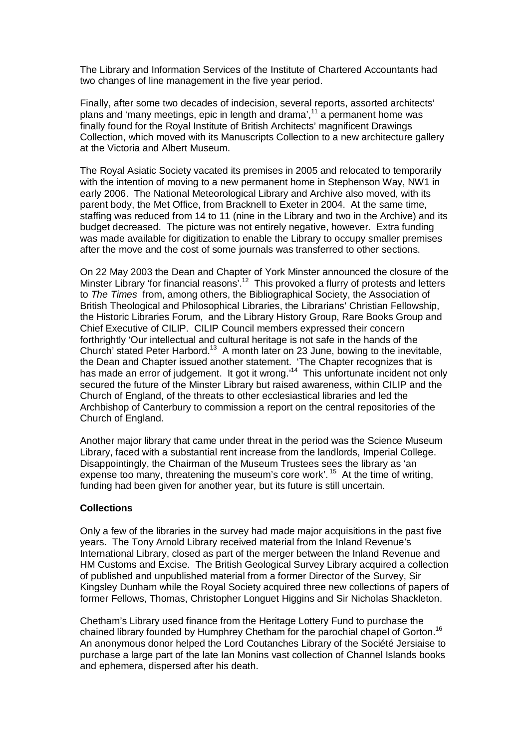The Library and Information Services of the Institute of Chartered Accountants had two changes of line management in the five year period.

Finally, after some two decades of indecision, several reports, assorted architects' plans and 'many meetings, epic in length and drama',<sup>11</sup> a permanent home was finally found for the Royal Institute of British Architects' magnificent Drawings Collection, which moved with its Manuscripts Collection to a new architecture gallery at the Victoria and Albert Museum.

The Royal Asiatic Society vacated its premises in 2005 and relocated to temporarily with the intention of moving to a new permanent home in Stephenson Way, NW1 in early 2006. The National Meteorological Library and Archive also moved, with its parent body, the Met Office, from Bracknell to Exeter in 2004. At the same time, staffing was reduced from 14 to 11 (nine in the Library and two in the Archive) and its budget decreased. The picture was not entirely negative, however. Extra funding was made available for digitization to enable the Library to occupy smaller premises after the move and the cost of some journals was transferred to other sections.

On 22 May 2003 the Dean and Chapter of York Minster announced the closure of the Minster Library 'for financial reasons'.<sup>12</sup> This provoked a flurry of protests and letters to The Times from, among others, the Bibliographical Society, the Association of British Theological and Philosophical Libraries, the Librarians' Christian Fellowship, the Historic Libraries Forum, and the Library History Group, Rare Books Group and Chief Executive of CILIP. CILIP Council members expressed their concern forthrightly 'Our intellectual and cultural heritage is not safe in the hands of the Church' stated Peter Harbord.<sup>13</sup> A month later on 23 June, bowing to the inevitable, the Dean and Chapter issued another statement. 'The Chapter recognizes that is has made an error of judgement. It got it wrong.<sup>14</sup> This unfortunate incident not only secured the future of the Minster Library but raised awareness, within CILIP and the Church of England, of the threats to other ecclesiastical libraries and led the Archbishop of Canterbury to commission a report on the central repositories of the Church of England.

Another major library that came under threat in the period was the Science Museum Library, faced with a substantial rent increase from the landlords, Imperial College. Disappointingly, the Chairman of the Museum Trustees sees the library as 'an expense too many, threatening the museum's core work'.<sup>15</sup> At the time of writing, funding had been given for another year, but its future is still uncertain.

#### **Collections**

Only a few of the libraries in the survey had made major acquisitions in the past five years. The Tony Arnold Library received material from the Inland Revenue's International Library, closed as part of the merger between the Inland Revenue and HM Customs and Excise. The British Geological Survey Library acquired a collection of published and unpublished material from a former Director of the Survey, Sir Kingsley Dunham while the Royal Society acquired three new collections of papers of former Fellows, Thomas, Christopher Longuet Higgins and Sir Nicholas Shackleton.

Chetham's Library used finance from the Heritage Lottery Fund to purchase the chained library founded by Humphrey Chetham for the parochial chapel of Gorton.<sup>16</sup> An anonymous donor helped the Lord Coutanches Library of the Société Jersiaise to purchase a large part of the late Ian Monins vast collection of Channel Islands books and ephemera, dispersed after his death.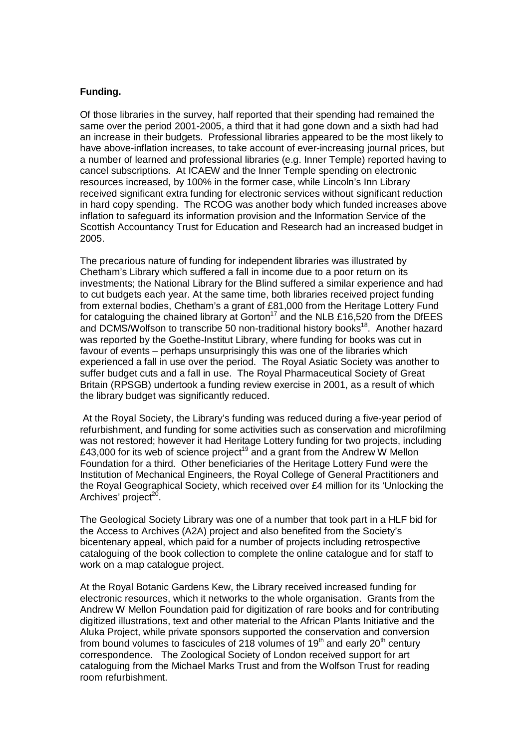## **Funding.**

Of those libraries in the survey, half reported that their spending had remained the same over the period 2001-2005, a third that it had gone down and a sixth had had an increase in their budgets. Professional libraries appeared to be the most likely to have above-inflation increases, to take account of ever-increasing journal prices, but a number of learned and professional libraries (e.g. Inner Temple) reported having to cancel subscriptions. At ICAEW and the Inner Temple spending on electronic resources increased, by 100% in the former case, while Lincoln's Inn Library received significant extra funding for electronic services without significant reduction in hard copy spending. The RCOG was another body which funded increases above inflation to safeguard its information provision and the Information Service of the Scottish Accountancy Trust for Education and Research had an increased budget in 2005.

The precarious nature of funding for independent libraries was illustrated by Chetham's Library which suffered a fall in income due to a poor return on its investments; the National Library for the Blind suffered a similar experience and had to cut budgets each year. At the same time, both libraries received project funding from external bodies, Chetham's a grant of £81,000 from the Heritage Lottery Fund for cataloguing the chained library at Gorton<sup>17</sup> and the NLB £16,520 from the DfEES and DCMS/Wolfson to transcribe 50 non-traditional history books<sup>18</sup>. Another hazard was reported by the Goethe-Institut Library, where funding for books was cut in favour of events – perhaps unsurprisingly this was one of the libraries which experienced a fall in use over the period. The Royal Asiatic Society was another to suffer budget cuts and a fall in use. The Royal Pharmaceutical Society of Great Britain (RPSGB) undertook a funding review exercise in 2001, as a result of which the library budget was significantly reduced.

 At the Royal Society, the Library's funding was reduced during a five-year period of refurbishment, and funding for some activities such as conservation and microfilming was not restored; however it had Heritage Lottery funding for two projects, including £43,000 for its web of science project<sup>19</sup> and a grant from the Andrew W Mellon Foundation for a third. Other beneficiaries of the Heritage Lottery Fund were the Institution of Mechanical Engineers, the Royal College of General Practitioners and the Royal Geographical Society, which received over £4 million for its 'Unlocking the Archives' project<sup>20</sup>.

The Geological Society Library was one of a number that took part in a HLF bid for the Access to Archives (A2A) project and also benefited from the Society's bicentenary appeal, which paid for a number of projects including retrospective cataloguing of the book collection to complete the online catalogue and for staff to work on a map catalogue project.

At the Royal Botanic Gardens Kew, the Library received increased funding for electronic resources, which it networks to the whole organisation. Grants from the Andrew W Mellon Foundation paid for digitization of rare books and for contributing digitized illustrations, text and other material to the African Plants Initiative and the Aluka Project, while private sponsors supported the conservation and conversion from bound volumes to fascicules of 218 volumes of  $19<sup>th</sup>$  and early  $20<sup>th</sup>$  century correspondence. The Zoological Society of London received support for art cataloguing from the Michael Marks Trust and from the Wolfson Trust for reading room refurbishment.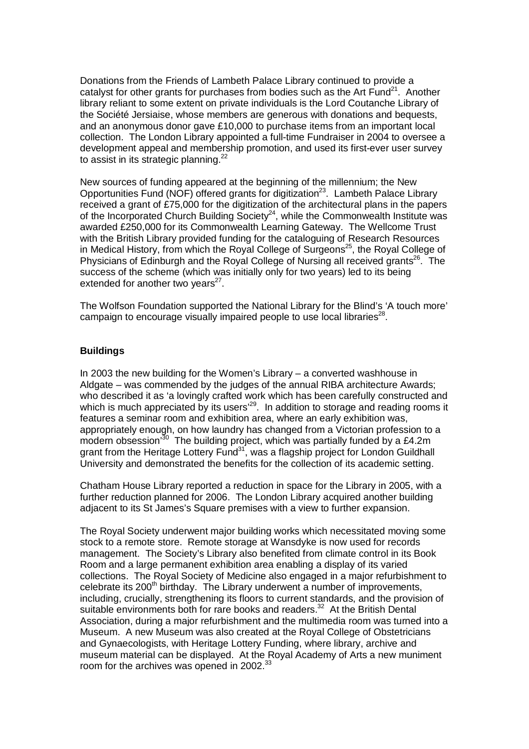Donations from the Friends of Lambeth Palace Library continued to provide a catalyst for other grants for purchases from bodies such as the Art  $Fund<sup>21</sup>$ . Another library reliant to some extent on private individuals is the Lord Coutanche Library of the Société Jersiaise, whose members are generous with donations and bequests, and an anonymous donor gave £10,000 to purchase items from an important local collection. The London Library appointed a full-time Fundraiser in 2004 to oversee a development appeal and membership promotion, and used its first-ever user survey to assist in its strategic planning.<sup>22</sup>

New sources of funding appeared at the beginning of the millennium; the New Opportunities Fund (NOF) offered grants for digitization<sup>23</sup>. Lambeth Palace Library received a grant of £75,000 for the digitization of the architectural plans in the papers of the Incorporated Church Building Society<sup>24</sup>, while the Commonwealth Institute was awarded £250,000 for its Commonwealth Learning Gateway. The Wellcome Trust with the British Library provided funding for the cataloguing of Research Resources in Medical History, from which the Royal College of Surgeons<sup>25</sup>, the Royal College of Physicians of Edinburgh and the Royal College of Nursing all received grants<sup>26</sup>. The success of the scheme (which was initially only for two years) led to its being extended for another two years $27$ .

The Wolfson Foundation supported the National Library for the Blind's 'A touch more' campaign to encourage visually impaired people to use local libraries $^{28}$ .

#### **Buildings**

In 2003 the new building for the Women's Library – a converted washhouse in Aldgate – was commended by the judges of the annual RIBA architecture Awards; who described it as 'a lovingly crafted work which has been carefully constructed and which is much appreciated by its users<sup>'29</sup>. In addition to storage and reading rooms it features a seminar room and exhibition area, where an early exhibition was, appropriately enough, on how laundry has changed from a Victorian profession to a modern obsession<sup>30</sup> The building project, which was partially funded by a £4.2m grant from the Heritage Lottery Fund<sup>31</sup>, was a flagship project for London Guildhall University and demonstrated the benefits for the collection of its academic setting.

Chatham House Library reported a reduction in space for the Library in 2005, with a further reduction planned for 2006. The London Library acquired another building adjacent to its St James's Square premises with a view to further expansion.

The Royal Society underwent major building works which necessitated moving some stock to a remote store. Remote storage at Wansdyke is now used for records management. The Society's Library also benefited from climate control in its Book Room and a large permanent exhibition area enabling a display of its varied collections. The Royal Society of Medicine also engaged in a major refurbishment to celebrate its  $200<sup>th</sup>$  birthday. The Library underwent a number of improvements, including, crucially, strengthening its floors to current standards, and the provision of suitable environments both for rare books and readers.<sup>32</sup> At the British Dental Association, during a major refurbishment and the multimedia room was turned into a Museum. A new Museum was also created at the Royal College of Obstetricians and Gynaecologists, with Heritage Lottery Funding, where library, archive and museum material can be displayed. At the Royal Academy of Arts a new muniment room for the archives was opened in 2002.<sup>33</sup>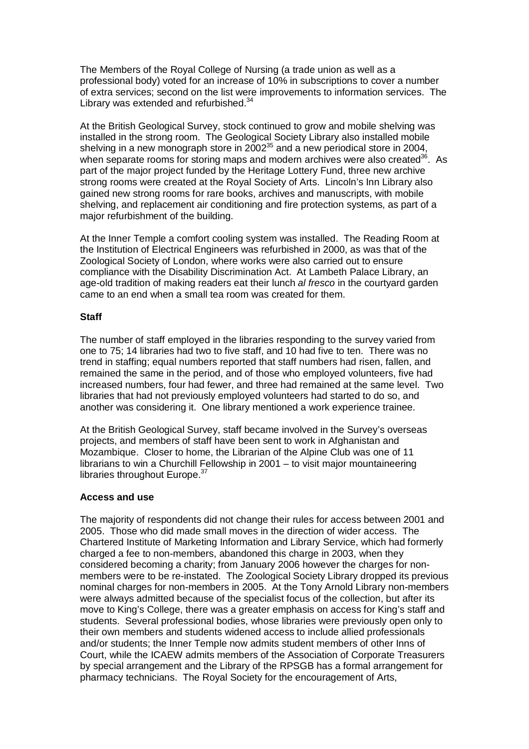The Members of the Royal College of Nursing (a trade union as well as a professional body) voted for an increase of 10% in subscriptions to cover a number of extra services; second on the list were improvements to information services. The Library was extended and refurbished. $34$ 

At the British Geological Survey, stock continued to grow and mobile shelving was installed in the strong room. The Geological Society Library also installed mobile shelving in a new monograph store in  $2002^{35}$  and a new periodical store in 2004, when separate rooms for storing maps and modern archives were also created<sup>36</sup>. As part of the major project funded by the Heritage Lottery Fund, three new archive strong rooms were created at the Royal Society of Arts. Lincoln's Inn Library also gained new strong rooms for rare books, archives and manuscripts, with mobile shelving, and replacement air conditioning and fire protection systems, as part of a major refurbishment of the building.

At the Inner Temple a comfort cooling system was installed. The Reading Room at the Institution of Electrical Engineers was refurbished in 2000, as was that of the Zoological Society of London, where works were also carried out to ensure compliance with the Disability Discrimination Act. At Lambeth Palace Library, an age-old tradition of making readers eat their lunch al fresco in the courtyard garden came to an end when a small tea room was created for them.

#### **Staff**

The number of staff employed in the libraries responding to the survey varied from one to 75; 14 libraries had two to five staff, and 10 had five to ten. There was no trend in staffing; equal numbers reported that staff numbers had risen, fallen, and remained the same in the period, and of those who employed volunteers, five had increased numbers, four had fewer, and three had remained at the same level. Two libraries that had not previously employed volunteers had started to do so, and another was considering it. One library mentioned a work experience trainee.

At the British Geological Survey, staff became involved in the Survey's overseas projects, and members of staff have been sent to work in Afghanistan and Mozambique. Closer to home, the Librarian of the Alpine Club was one of 11 librarians to win a Churchill Fellowship in 2001 – to visit major mountaineering libraries throughout Europe.<sup>37</sup>

# **Access and use**

The majority of respondents did not change their rules for access between 2001 and 2005. Those who did made small moves in the direction of wider access. The Chartered Institute of Marketing Information and Library Service, which had formerly charged a fee to non-members, abandoned this charge in 2003, when they considered becoming a charity; from January 2006 however the charges for nonmembers were to be re-instated. The Zoological Society Library dropped its previous nominal charges for non-members in 2005. At the Tony Arnold Library non-members were always admitted because of the specialist focus of the collection, but after its move to King's College, there was a greater emphasis on access for King's staff and students. Several professional bodies, whose libraries were previously open only to their own members and students widened access to include allied professionals and/or students; the Inner Temple now admits student members of other Inns of Court, while the ICAEW admits members of the Association of Corporate Treasurers by special arrangement and the Library of the RPSGB has a formal arrangement for pharmacy technicians. The Royal Society for the encouragement of Arts,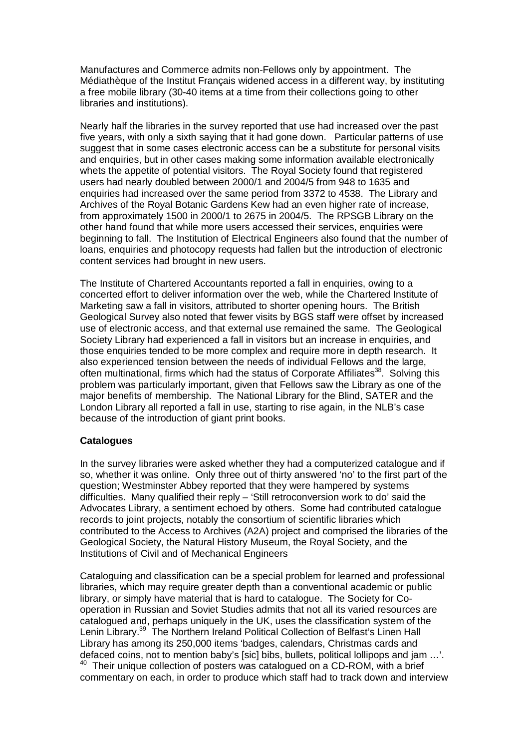Manufactures and Commerce admits non-Fellows only by appointment. The Médiathèque of the Institut Français widened access in a different way, by instituting a free mobile library (30-40 items at a time from their collections going to other libraries and institutions).

Nearly half the libraries in the survey reported that use had increased over the past five years, with only a sixth saying that it had gone down. Particular patterns of use suggest that in some cases electronic access can be a substitute for personal visits and enquiries, but in other cases making some information available electronically whets the appetite of potential visitors. The Royal Society found that registered users had nearly doubled between 2000/1 and 2004/5 from 948 to 1635 and enquiries had increased over the same period from 3372 to 4538. The Library and Archives of the Royal Botanic Gardens Kew had an even higher rate of increase, from approximately 1500 in 2000/1 to 2675 in 2004/5. The RPSGB Library on the other hand found that while more users accessed their services, enquiries were beginning to fall. The Institution of Electrical Engineers also found that the number of loans, enquiries and photocopy requests had fallen but the introduction of electronic content services had brought in new users.

The Institute of Chartered Accountants reported a fall in enquiries, owing to a concerted effort to deliver information over the web, while the Chartered Institute of Marketing saw a fall in visitors, attributed to shorter opening hours. The British Geological Survey also noted that fewer visits by BGS staff were offset by increased use of electronic access, and that external use remained the same. The Geological Society Library had experienced a fall in visitors but an increase in enquiries, and those enquiries tended to be more complex and require more in depth research. It also experienced tension between the needs of individual Fellows and the large, often multinational, firms which had the status of Corporate Affiliates<sup>38</sup>. Solving this problem was particularly important, given that Fellows saw the Library as one of the major benefits of membership. The National Library for the Blind, SATER and the London Library all reported a fall in use, starting to rise again, in the NLB's case because of the introduction of giant print books.

#### **Catalogues**

In the survey libraries were asked whether they had a computerized catalogue and if so, whether it was online. Only three out of thirty answered 'no' to the first part of the question; Westminster Abbey reported that they were hampered by systems difficulties. Many qualified their reply – 'Still retroconversion work to do' said the Advocates Library, a sentiment echoed by others. Some had contributed catalogue records to joint projects, notably the consortium of scientific libraries which contributed to the Access to Archives (A2A) project and comprised the libraries of the Geological Society, the Natural History Museum, the Royal Society, and the Institutions of Civil and of Mechanical Engineers

Cataloguing and classification can be a special problem for learned and professional libraries, which may require greater depth than a conventional academic or public library, or simply have material that is hard to catalogue. The Society for Cooperation in Russian and Soviet Studies admits that not all its varied resources are catalogued and, perhaps uniquely in the UK, uses the classification system of the Lenin Library.<sup>39</sup> The Northern Ireland Political Collection of Belfast's Linen Hall Library has among its 250,000 items 'badges, calendars, Christmas cards and defaced coins, not to mention baby's [sic] bibs, bullets, political lollipops and jam …'. <sup>40</sup> Their unique collection of posters was catalogued on a CD-ROM, with a brief commentary on each, in order to produce which staff had to track down and interview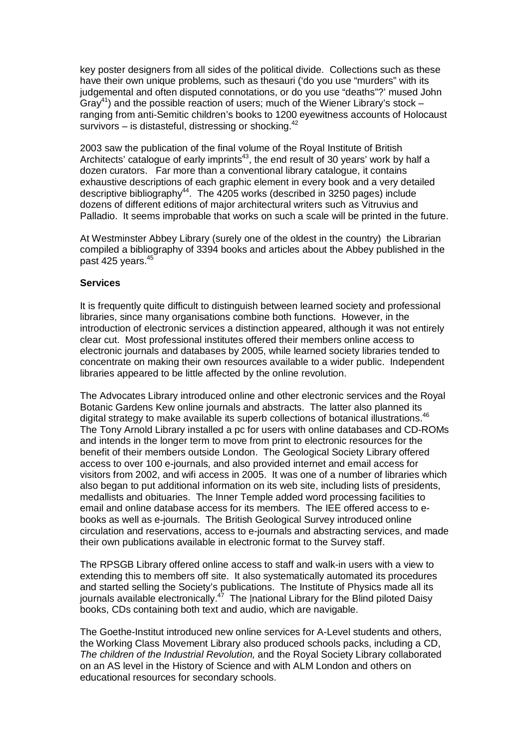key poster designers from all sides of the political divide. Collections such as these have their own unique problems, such as thesauri ('do you use "murders" with its judgemental and often disputed connotations, or do you use "deaths"?' mused John  $Gray<sup>41</sup>$ ) and the possible reaction of users; much of the Wiener Library's stock – ranging from anti-Semitic children's books to 1200 eyewitness accounts of Holocaust survivors – is distasteful, distressing or shocking. $42$ 

2003 saw the publication of the final volume of the Royal Institute of British Architects' catalogue of early imprints<sup>43</sup>, the end result of 30 years' work by half a dozen curators. Far more than a conventional library catalogue, it contains exhaustive descriptions of each graphic element in every book and a very detailed descriptive bibliography<sup>44</sup>. The  $4205$  works (described in 3250 pages) include dozens of different editions of major architectural writers such as Vitruvius and Palladio. It seems improbable that works on such a scale will be printed in the future.

At Westminster Abbey Library (surely one of the oldest in the country) the Librarian compiled a bibliography of 3394 books and articles about the Abbey published in the past 425 years.<sup>45</sup>

#### **Services**

It is frequently quite difficult to distinguish between learned society and professional libraries, since many organisations combine both functions. However, in the introduction of electronic services a distinction appeared, although it was not entirely clear cut. Most professional institutes offered their members online access to electronic journals and databases by 2005, while learned society libraries tended to concentrate on making their own resources available to a wider public. Independent libraries appeared to be little affected by the online revolution.

The Advocates Library introduced online and other electronic services and the Royal Botanic Gardens Kew online journals and abstracts. The latter also planned its digital strategy to make available its superb collections of botanical illustrations. $46$ The Tony Arnold Library installed a pc for users with online databases and CD-ROMs and intends in the longer term to move from print to electronic resources for the benefit of their members outside London. The Geological Society Library offered access to over 100 e-journals, and also provided internet and email access for visitors from 2002, and wifi access in 2005. It was one of a number of libraries which also began to put additional information on its web site, including lists of presidents, medallists and obituaries. The Inner Temple added word processing facilities to email and online database access for its members. The IEE offered access to ebooks as well as e-journals. The British Geological Survey introduced online circulation and reservations, access to e-journals and abstracting services, and made their own publications available in electronic format to the Survey staff.

The RPSGB Library offered online access to staff and walk-in users with a view to extending this to members off site. It also systematically automated its procedures and started selling the Society's publications. The Institute of Physics made all its journals available electronically.<sup>47</sup> The |national Library for the Blind piloted Daisy books, CDs containing both text and audio, which are navigable.

The Goethe-Institut introduced new online services for A-Level students and others, the Working Class Movement Library also produced schools packs, including a CD, The children of the Industrial Revolution, and the Royal Society Library collaborated on an AS level in the History of Science and with ALM London and others on educational resources for secondary schools.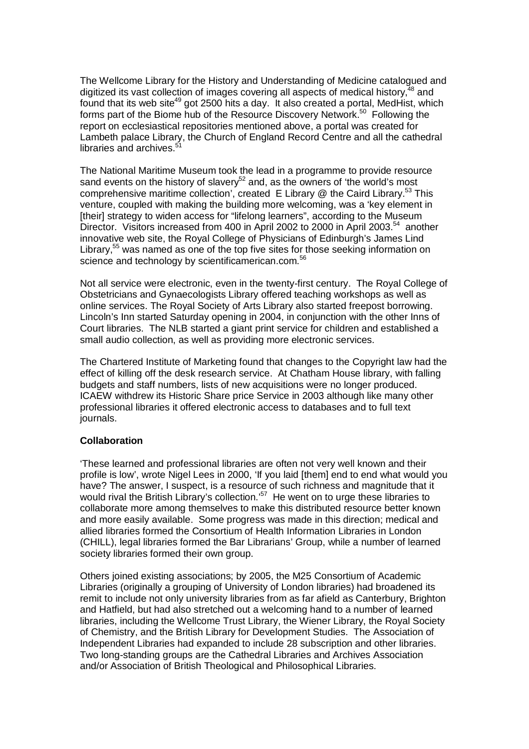The Wellcome Library for the History and Understanding of Medicine catalogued and digitized its vast collection of images covering all aspects of medical history,  $48$  and found that its web site<sup>49</sup> got 2500 hits a day. It also created a portal, MedHist, which forms part of the Biome hub of the Resource Discovery Network.<sup>50</sup> Following the report on ecclesiastical repositories mentioned above, a portal was created for Lambeth palace Library, the Church of England Record Centre and all the cathedral libraries and archives.<sup>4</sup>

The National Maritime Museum took the lead in a programme to provide resource sand events on the history of slavery<sup>52</sup> and, as the owners of 'the world's most comprehensive maritime collection', created E Library  $@$  the Caird Library.<sup>53</sup> This venture, coupled with making the building more welcoming, was a 'key element in [their] strategy to widen access for "lifelong learners", according to the Museum Director. Visitors increased from 400 in April 2002 to 2000 in April 2003.<sup>54</sup> another innovative web site, the Royal College of Physicians of Edinburgh's James Lind Library,<sup>55</sup> was named as one of the top five sites for those seeking information on science and technology by scientificamerican.com.<sup>56</sup>

Not all service were electronic, even in the twenty-first century. The Royal College of Obstetricians and Gynaecologists Library offered teaching workshops as well as online services. The Royal Society of Arts Library also started freepost borrowing. Lincoln's Inn started Saturday opening in 2004, in conjunction with the other Inns of Court libraries. The NLB started a giant print service for children and established a small audio collection, as well as providing more electronic services.

The Chartered Institute of Marketing found that changes to the Copyright law had the effect of killing off the desk research service. At Chatham House library, with falling budgets and staff numbers, lists of new acquisitions were no longer produced. ICAEW withdrew its Historic Share price Service in 2003 although like many other professional libraries it offered electronic access to databases and to full text journals.

#### **Collaboration**

'These learned and professional libraries are often not very well known and their profile is low', wrote Nigel Lees in 2000, 'If you laid [them] end to end what would you have? The answer, I suspect, is a resource of such richness and magnitude that it would rival the British Library's collection.<sup>'57</sup> He went on to urge these libraries to collaborate more among themselves to make this distributed resource better known and more easily available. Some progress was made in this direction; medical and allied libraries formed the Consortium of Health Information Libraries in London (CHILL), legal libraries formed the Bar Librarians' Group, while a number of learned society libraries formed their own group.

Others joined existing associations; by 2005, the M25 Consortium of Academic Libraries (originally a grouping of University of London libraries) had broadened its remit to include not only university libraries from as far afield as Canterbury, Brighton and Hatfield, but had also stretched out a welcoming hand to a number of learned libraries, including the Wellcome Trust Library, the Wiener Library, the Royal Society of Chemistry, and the British Library for Development Studies. The Association of Independent Libraries had expanded to include 28 subscription and other libraries. Two long-standing groups are the Cathedral Libraries and Archives Association and/or Association of British Theological and Philosophical Libraries.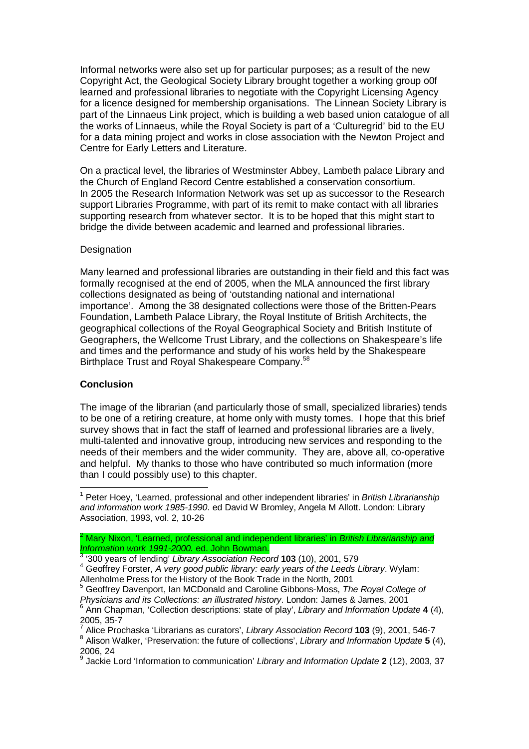Informal networks were also set up for particular purposes; as a result of the new Copyright Act, the Geological Society Library brought together a working group o0f learned and professional libraries to negotiate with the Copyright Licensing Agency for a licence designed for membership organisations. The Linnean Society Library is part of the Linnaeus Link project, which is building a web based union catalogue of all the works of Linnaeus, while the Royal Society is part of a 'Culturegrid' bid to the EU for a data mining project and works in close association with the Newton Project and Centre for Early Letters and Literature.

On a practical level, the libraries of Westminster Abbey, Lambeth palace Library and the Church of England Record Centre established a conservation consortium. In 2005 the Research Information Network was set up as successor to the Research support Libraries Programme, with part of its remit to make contact with all libraries supporting research from whatever sector. It is to be hoped that this might start to bridge the divide between academic and learned and professional libraries.

## Designation

Many learned and professional libraries are outstanding in their field and this fact was formally recognised at the end of 2005, when the MLA announced the first library collections designated as being of 'outstanding national and international importance'. Among the 38 designated collections were those of the Britten-Pears Foundation, Lambeth Palace Library, the Royal Institute of British Architects, the geographical collections of the Royal Geographical Society and British Institute of Geographers, the Wellcome Trust Library, and the collections on Shakespeare's life and times and the performance and study of his works held by the Shakespeare Birthplace Trust and Royal Shakespeare Company.<sup>58</sup>

# **Conclusion**

 $\overline{a}$ 

The image of the librarian (and particularly those of small, specialized libraries) tends to be one of a retiring creature, at home only with musty tomes. I hope that this brief survey shows that in fact the staff of learned and professional libraries are a lively, multi-talented and innovative group, introducing new services and responding to the needs of their members and the wider community. They are, above all, co-operative and helpful. My thanks to those who have contributed so much information (more than I could possibly use) to this chapter.

<sup>&</sup>lt;sup>1</sup> Peter Hoey, 'Learned, professional and other independent libraries' in British Librarianship and information work 1985-1990. ed David W Bromley, Angela M Allott. London: Library Association, 1993, vol. 2, 10-26

<sup>&</sup>lt;sup>2</sup> Mary Nixon, 'Learned, professional and independent libraries' in *British Librarianship and* Information work 1991-2000. ed. John Bowman.

<sup>3</sup> '300 years of lending' Library Association Record **103** (10), 2001, 579

 $4$  Geoffrey Forster, A very good public library: early years of the Leeds Library. Wylam: Allenholme Press for the History of the Book Trade in the North, 2001

<sup>5</sup> Geoffrey Davenport, Ian MCDonald and Caroline Gibbons-Moss, The Royal College of Physicians and its Collections: an illustrated history. London: James & James, 2001

<sup>6</sup> Ann Chapman, 'Collection descriptions: state of play', Library and Information Update **4** (4), 2005, 35-7

<sup>7</sup> Alice Prochaska 'Librarians as curators', Library Association Record **103** (9), 2001, 546-7

<sup>&</sup>lt;sup>8</sup> Alison Walker, 'Preservation: the future of collections', Library and Information Update 5 (4), 2006, 24

<sup>9</sup> Jackie Lord 'Information to communication' Library and Information Update **2** (12), 2003, 37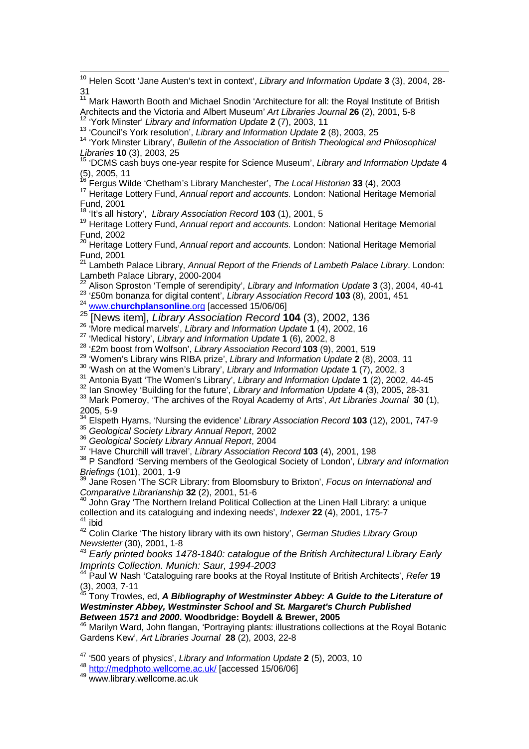<sup>10</sup> Helen Scott 'Jane Austen's text in context', Library and Information Update **3** (3), 2004, 28-

<sup>15</sup> 'DCMS cash buys one-year respite for Science Museum', Library and Information Update **4**  $(5)$ , 2005, 11

<sup>16</sup> Fergus Wilde 'Chetham's Library Manchester', The Local Historian **33** (4), 2003

<sup>17</sup> Heritage Lottery Fund, Annual report and accounts. London: National Heritage Memorial Fund, 2001

<sup>18</sup> 'It's all history', Library Association Record **103** (1), 2001, 5

 $\overline{a}$ 

<sup>19</sup> Heritage Lottery Fund, Annual report and accounts. London: National Heritage Memorial Fund, 2002

<sup>20</sup> Heritage Lottery Fund, Annual report and accounts. London: National Heritage Memorial Fund, 2001

<sup>21</sup> Lambeth Palace Library, Annual Report of the Friends of Lambeth Palace Library. London: Lambeth Palace Library, 2000-2004

<sup>22</sup> Alison Sproston 'Temple of serendipity', Library and Information Update **3** (3), 2004, 40-41 <sup>23</sup> '£50m bonanza for digital content', Library Association Record **103** (8), 2001, 451

<sup>24</sup> www.**churchplansonline**.org [accessed 15/06/06]

<sup>25</sup> [News item], Library Association Record **104** (3), 2002, 136

<sup>26</sup> 'More medical marvels', Library and Information Update **1** (4), 2002, 16

<sup>27</sup> 'Medical history', Library and Information Update **1** (6), 2002, 8

<sup>28</sup> '£2m boost from Wolfson', Library Association Record **103** (9), 2001, 519

<sup>29</sup> 'Women's Library wins RIBA prize', Library and Information Update **2** (8), 2003, 11

<sup>30</sup> 'Wash on at the Women's Library', Library and Information Update **1** (7), 2002, 3

<sup>31</sup> Antonia Byatt 'The Women's Library', Library and Information Update **1** (2), 2002, 44-45

<sup>32</sup> Ian Snowley 'Building for the future', Library and Information Update **4** (3), 2005, 28-31

<sup>33</sup> Mark Pomeroy, 'The archives of the Royal Academy of Arts', Art Libraries Journal **30** (1), 2005, 5-9

<sup>34</sup> Elspeth Hyams, 'Nursing the evidence' Library Association Record **103** (12), 2001, 747-9

35 Geological Society Library Annual Report, 2002

<sup>36</sup> Geological Society Library Annual Report, 2004

<sup>37</sup> 'Have Churchill will travel', Library Association Record **103** (4), 2001, 198

<sup>38</sup> P Sandford 'Serving members of the Geological Society of London', Library and Information Briefings (101), 2001, 1-9

<sup>39</sup> Jane Rosen 'The SCR Library: from Bloomsbury to Brixton', Focus on International and Comparative Librarianship **32** (2), 2001, 51-6

<sup>40</sup> John Gray 'The Northern Ireland Political Collection at the Linen Hall Library: a unique collection and its cataloguing and indexing needs', Indexer **22** (4), 2001, 175-7 <sup>41</sup> ibid

42 Colin Clarke 'The history library with its own history', German Studies Library Group Newsletter (30), 2001, 1-8

 $43$  Early printed books 1478-1840: catalogue of the British Architectural Library Early Imprints Collection. Munich: Saur, 1994-2003

<sup>44</sup> Paul W Nash 'Cataloguing rare books at the Royal Institute of British Architects', Refer **19**  $(3)$ , 2003, 7-11

<sup>45</sup> Tony Trowles, ed, **A Bibliography of Westminster Abbey: A Guide to the Literature of Westminster Abbey, Westminster School and St. Margaret's Church Published Between 1571 and 2000. Woodbridge: Boydell & Brewer, 2005**

<sup>46</sup> Marilyn Ward, John flangan, 'Portraying plants: illustrations collections at the Royal Botanic Gardens Kew', Art Libraries Journal **28** (2), 2003, 22-8

<sup>47</sup> '500 years of physics', Library and Information Update **2** (5), 2003, 10

<sup>48</sup> http://medphoto.wellcome.ac.uk/ [accessed 15/06/06]

<sup>49</sup> www.library.wellcome.ac.uk

<sup>31</sup>  <sup>11</sup> Mark Haworth Booth and Michael Snodin 'Architecture for all: the Royal Institute of British Architects and the Victoria and Albert Museum' Art Libraries Journal **26** (2), 2001, 5-8 <sup>12</sup> 'York Minster' Library and Information Update **2** (7), 2003, 11 <sup>13</sup> 'Council's York resolution', Library and Information Update **2** (8), 2003, 25 <sup>14</sup> 'York Minster Library', Bulletin of the Association of British Theological and Philosophical Libraries **10** (3), 2003, 25